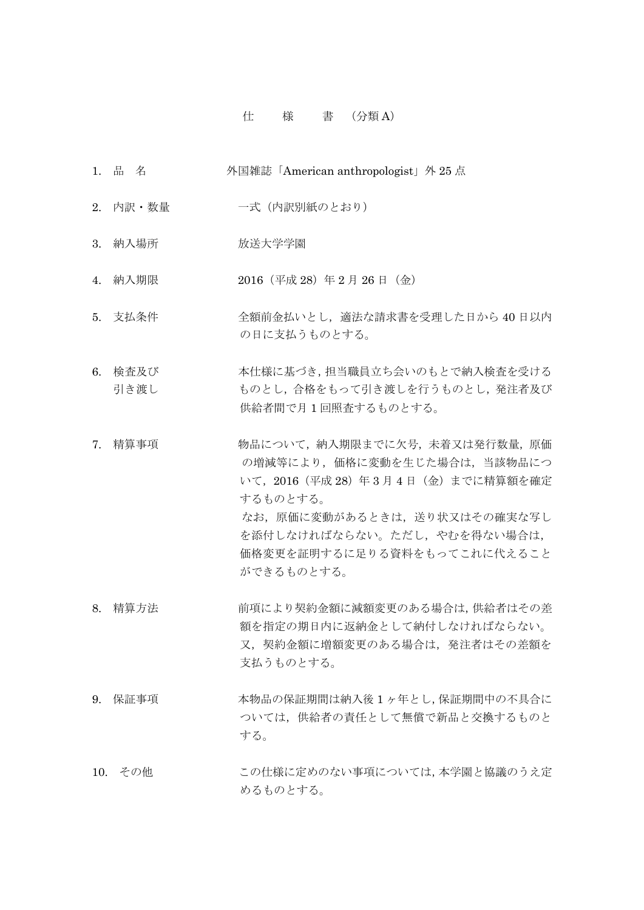#### 仕 様 書 (分類 A)

- 1. 品 名 外国雑誌「American anthropologist」外 25 点
- 2. 内訳・数量 ー式(内訳別紙のとおり)
- 3. 納入場所 放送大学学園
- 4. 納入期限 2016 (平成 28) 年 2 月 26 日 (金)
- 5. 支払条件 全額前金払いとし、適法な請求書を受理した日から40日以内 の日に支払うものとする。
- 6. 検査及び 本仕様に基づき,担当職員立ち会いのもとで納入検査を受ける 引き渡し おりとし,合格をもって引き渡しを行うものとし,発注者及び 供給者間で月 1 回照査するものとする。
- 7. 精算事項 アンチンの品について、納入期限までに欠号、未着又は発行数量、原価 の増減等により,価格に変動を生じた場合は,当該物品につ いて,2016(平成 28)年 3 月 4 日(金)までに精算額を確定 するものとする。 なお,原価に変動があるときは,送り状又はその確実な写し を添付しなければならない。ただし,やむを得ない場合は, 価格変更を証明するに足りる資料をもってこれに代えること ができるものとする。
- 8. 精算方法 前項により契約金額に減額変更のある場合は、供給者はその差 額を指定の期日内に返納金として納付しなければならない。 又,契約金額に増額変更のある場合は,発注者はその差額を 支払うものとする。
- 9. 保証事項 本物品の保証期間は納入後1ヶ年とし,保証期間中の不具合に ついては,供給者の責任として無償で新品と交換するものと する。
- 10. その他 この仕様に定めのない事項については、本学園と協議のうえ定 めるものとする。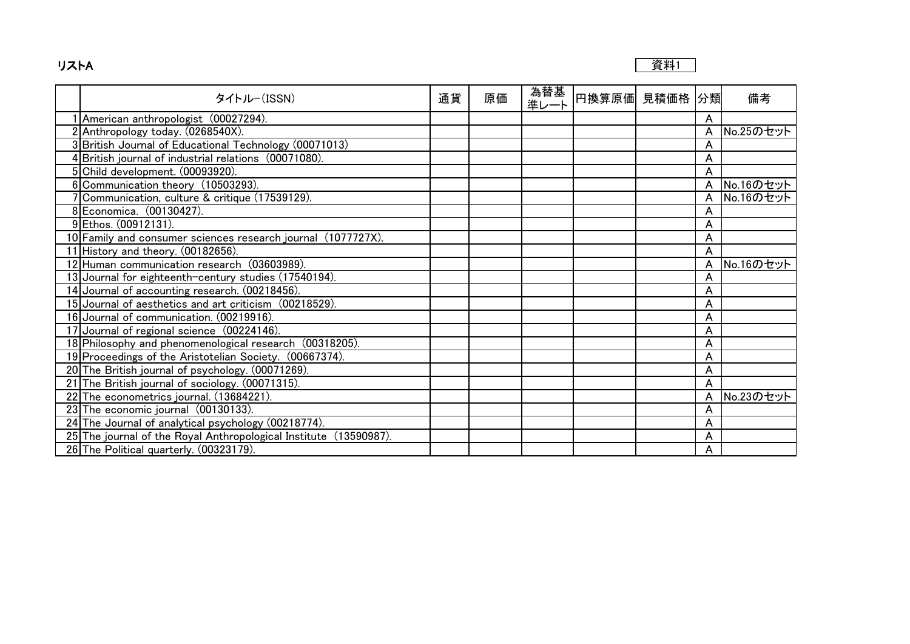

| タイトル-(ISSN)                                                       | 通貨 | 原価 | 為替基<br>準レート | 円換算原価 見積価格 | 分類           | 備考        |
|-------------------------------------------------------------------|----|----|-------------|------------|--------------|-----------|
| American anthropologist (00027294).                               |    |    |             |            | A            |           |
| Anthropology today. (0268540X).                                   |    |    |             |            | A            | No.25のセット |
| 3 British Journal of Educational Technology (00071013)            |    |    |             |            | A            |           |
| British journal of industrial relations (00071080).               |    |    |             |            | A            |           |
| 5 Child development. (00093920).                                  |    |    |             |            | A            |           |
| 6 Communication theory (10503293).                                |    |    |             |            | $\mathsf{A}$ | No.16のセット |
| Communication, culture & critique (17539129).                     |    |    |             |            | A            | No.16のセット |
| 8 Economica. (00130427).                                          |    |    |             |            | A            |           |
| 9 Ethos. (00912131).                                              |    |    |             |            | A            |           |
| 10 Family and consumer sciences research journal (1077727X).      |    |    |             |            | A            |           |
| 11 History and theory. (00182656).                                |    |    |             |            | A            |           |
| 12 Human communication research (03603989).                       |    |    |             |            | A            | No.16のセット |
| 13 Journal for eighteenth-century studies (17540194).             |    |    |             |            | A            |           |
| 14 Journal of accounting research. (00218456).                    |    |    |             |            | A            |           |
| 15 Journal of aesthetics and art criticism (00218529).            |    |    |             |            | A            |           |
| 16 Journal of communication. (00219916).                          |    |    |             |            | A            |           |
| 17 Journal of regional science (00224146).                        |    |    |             |            | A            |           |
| 18 Philosophy and phenomenological research (00318205).           |    |    |             |            | A            |           |
| 19 Proceedings of the Aristotelian Society. (00667374).           |    |    |             |            | A            |           |
| 20 The British journal of psychology. (00071269).                 |    |    |             |            | A            |           |
| 21 The British journal of sociology. (00071315).                  |    |    |             |            | A            |           |
| 22 The econometrics journal. (13684221).                          |    |    |             |            | A            | No.23のセット |
| 23 The economic journal (00130133).                               |    |    |             |            | A            |           |
| 24 The Journal of analytical psychology (00218774).               |    |    |             |            | A            |           |
| 25 The journal of the Royal Anthropological Institute (13590987). |    |    |             |            | A            |           |
| 26 The Political quarterly. (00323179).                           |    |    |             |            | A            |           |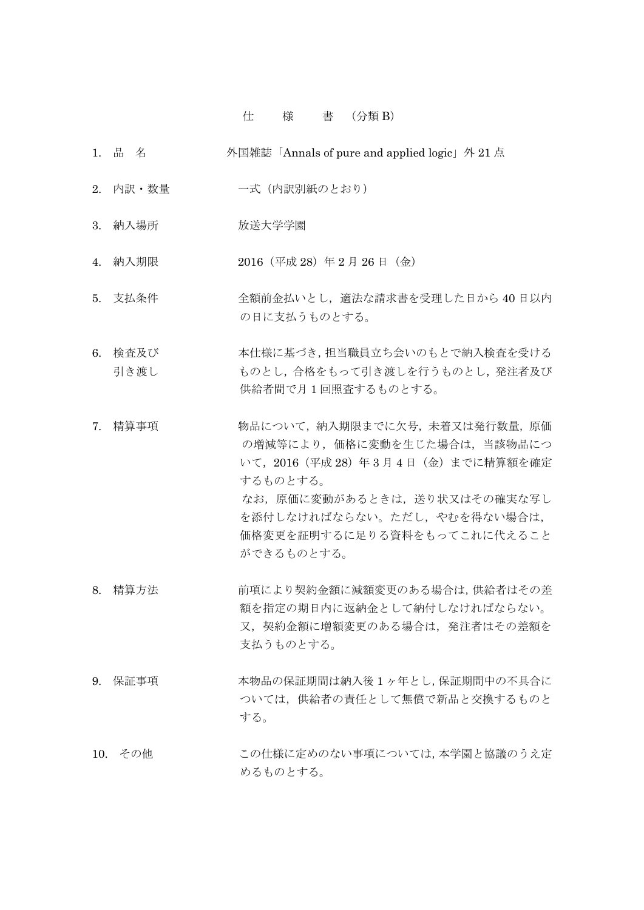### 仕 様 書 (分類 B)

- 1. 品 名 <br>
<br/>
<br>
<br>
<br>
<br/>
<br>
<br/>
<br>
<br/>
<br>
<br/>
<br/>
<br/>
<br/>
<br/>
<br/>
Annals of pure and applied logic」<br/>  $\Re$  21 点
- 2. 内訳・数量 一式 (内訳別紙のとおり)
- 3. 納入場所 放送大学学園
- 4. 納入期限 2016 (平成 28) 年 2 月 26 日 (金)
- 5. 支払条件 全額前金払いとし、適法な請求書を受理した日から40日以内 の日に支払うものとする。
- 6. 検査及び 本住様に基づき,担当職員立ち会いのもとで納入検査を受ける 引き渡し ちのとし、合格をもって引き渡しを行うものとし、発注者及び 供給者間で月 1 回照査するものとする。
- 7. 精算事項 カンチン 物品について、納入期限までに欠号、未着又は発行数量、原価 の増減等により,価格に変動を生じた場合は,当該物品につ いて,2016(平成 28)年 3 月 4 日(金)までに精算額を確定 するものとする。 なお,原価に変動があるときは,送り状又はその確実な写し を添付しなければならない。ただし,やむを得ない場合は, 価格変更を証明するに足りる資料をもってこれに代えること ができるものとする。
- 8. 精算方法 前項により契約金額に減額変更のある場合は、供給者はその差 額を指定の期日内に返納金として納付しなければならない。 又、契約金額に増額変更のある場合は、発注者はその差額を 支払うものとする。
- 9. 保証事項 インスの品の保証期間は納入後1ヶ年とし、保証期間中の不具合に ついては,供給者の責任として無償で新品と交換するものと する。
- 10. その他 この仕様に定めのない事項については、本学園と協議のうえ定 めるものとする。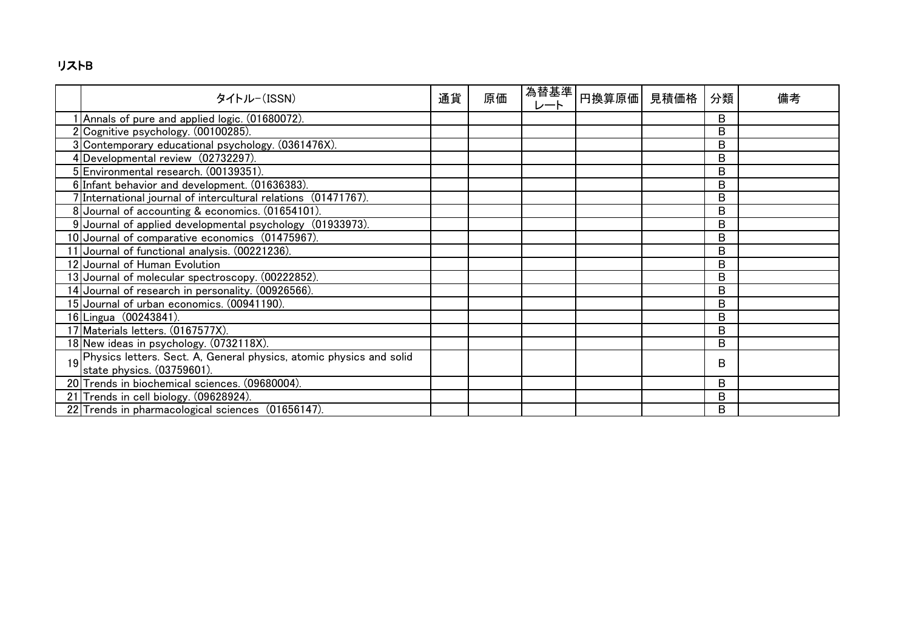## リストB

| タイトル-(ISSN)                                                         | 通貨 | 原価 | 為替基準<br>レート | 円換算原価 | 見積価格 | 分類 | 備考 |
|---------------------------------------------------------------------|----|----|-------------|-------|------|----|----|
| 1 Annals of pure and applied logic. (01680072).                     |    |    |             |       |      | B  |    |
| 2 Cognitive psychology. (00100285).                                 |    |    |             |       |      | B  |    |
| 3 Contemporary educational psychology. (0361476X).                  |    |    |             |       |      | B  |    |
| 4 Developmental review (02732297).                                  |    |    |             |       |      | в  |    |
| 5 Environmental research. (00139351).                               |    |    |             |       |      | в  |    |
| 6 Infant behavior and development. (01636383).                      |    |    |             |       |      | в  |    |
| 7 International journal of intercultural relations (01471767).      |    |    |             |       |      | B  |    |
| 8 Journal of accounting & economics. (01654101).                    |    |    |             |       |      | B  |    |
| 9 Journal of applied developmental psychology (01933973).           |    |    |             |       |      | B  |    |
| 10 Journal of comparative economics (01475967).                     |    |    |             |       |      | в  |    |
| 11 Journal of functional analysis. (00221236).                      |    |    |             |       |      | B  |    |
| 12 Journal of Human Evolution                                       |    |    |             |       |      | B  |    |
| 13 Journal of molecular spectroscopy. (00222852).                   |    |    |             |       |      | В  |    |
| 14 Journal of research in personality. (00926566).                  |    |    |             |       |      | B  |    |
| 15 Journal of urban economics. (00941190).                          |    |    |             |       |      | B  |    |
| 16 Lingua (00243841).                                               |    |    |             |       |      | в  |    |
| 17 Materials letters. (0167577X).                                   |    |    |             |       |      | В  |    |
| 18 New ideas in psychology. (0732118X).                             |    |    |             |       |      | В  |    |
| Physics letters. Sect. A, General physics, atomic physics and solid |    |    |             |       |      | B  |    |
| state physics. (03759601).                                          |    |    |             |       |      |    |    |
| 20 Trends in biochemical sciences. (09680004).                      |    |    |             |       |      | В  |    |
| 21 Trends in cell biology. (09628924).                              |    |    |             |       |      | в  |    |
| 22 Trends in pharmacological sciences (01656147).                   |    |    |             |       |      | B  |    |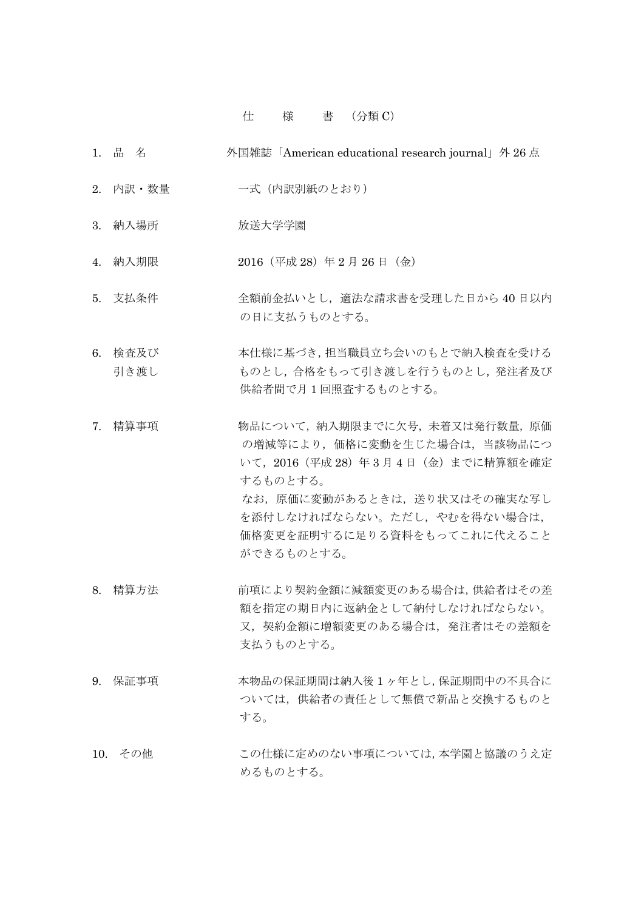### 仕 様 書 (分類 C)

- 1. 品 名 外国雑誌「American educational research journal」外 26 点
- 2. 内訳・数量 一式 (内訳別紙のとおり)
- 3. 納入場所 放送大学学園
- 4. 納入期限 2016 (平成 28) 年 2 月 26 日 (金)
- 5. 支払条件 全額前金払いとし、適法な請求書を受理した日から40日以内 の日に支払うものとする。
- 6. 検査及び 本住様に基づき,担当職員立ち会いのもとで納入検査を受ける 引き渡し ちのとし、合格をもって引き渡しを行うものとし、発注者及び 供給者間で月 1 回照査するものとする。
- 7. 精算事項 カンチン 物品について、納入期限までに欠号、未着又は発行数量、原価 の増減等により,価格に変動を生じた場合は,当該物品につ いて,2016(平成 28)年 3 月 4 日(金)までに精算額を確定 するものとする。 なお,原価に変動があるときは,送り状又はその確実な写し を添付しなければならない。ただし,やむを得ない場合は, 価格変更を証明するに足りる資料をもってこれに代えること ができるものとする。
- 8. 精算方法 前項により契約金額に減額変更のある場合は、供給者はその差 額を指定の期日内に返納金として納付しなければならない。 又、契約金額に増額変更のある場合は、発注者はその差額を 支払うものとする。
- 9. 保証事項 インストン 本物品の保証期間は納入後1ヶ年とし,保証期間中の不具合に ついては,供給者の責任として無償で新品と交換するものと する。
- 10. その他 この仕様に定めのない事項については、本学園と協議のうえ定 めるものとする。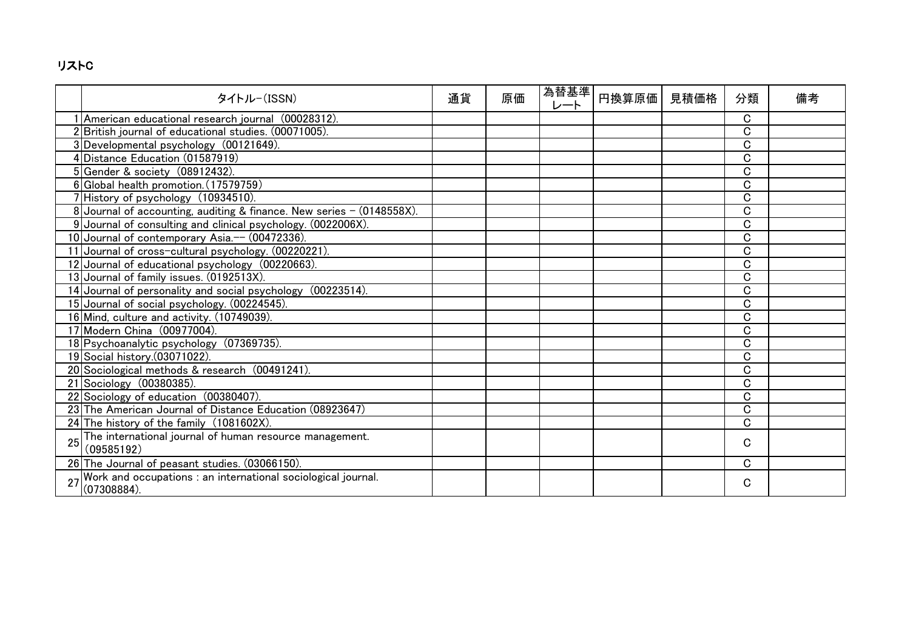## リストC

|    | タイトル-(ISSN)                                                                  | 通貨 | 原価 | 為替基準<br>レート | 円換算原価 | 見積価格 | 分類          | 備考 |
|----|------------------------------------------------------------------------------|----|----|-------------|-------|------|-------------|----|
|    | 1 American educational research journal (00028312).                          |    |    |             |       |      | C           |    |
|    | 2 British journal of educational studies. (00071005).                        |    |    |             |       |      | $\mathbf C$ |    |
|    | 3 Developmental psychology (00121649).                                       |    |    |             |       |      | $\mathbf C$ |    |
|    | 4 Distance Education (01587919)                                              |    |    |             |       |      | C           |    |
|    | 5 Gender & society (08912432).                                               |    |    |             |       |      | $\mathbf C$ |    |
|    | 6 Global health promotion. (17579759)                                        |    |    |             |       |      | C           |    |
|    | 7 History of psychology (10934510).                                          |    |    |             |       |      | $\mathbf C$ |    |
|    | 8 Journal of accounting, auditing & finance. New series - (0148558X).        |    |    |             |       |      | $\mathbf C$ |    |
|    | 9 Journal of consulting and clinical psychology. (0022006X).                 |    |    |             |       |      | $\mathbf C$ |    |
|    | 10 Journal of contemporary Asia.-- (00472336).                               |    |    |             |       |      | C           |    |
|    | 11 Journal of cross-cultural psychology. (00220221).                         |    |    |             |       |      | C           |    |
|    | 12 Journal of educational psychology (00220663).                             |    |    |             |       |      | $\mathbf C$ |    |
|    | 13 Journal of family issues. (0192513X).                                     |    |    |             |       |      | $\mathbf C$ |    |
|    | 14 Journal of personality and social psychology (00223514).                  |    |    |             |       |      | $\mathbf C$ |    |
|    | 15 Journal of social psychology. (00224545).                                 |    |    |             |       |      | $\mathbf C$ |    |
|    | 16 Mind, culture and activity. (10749039).                                   |    |    |             |       |      | $\mathbf C$ |    |
|    | 17 Modern China (00977004).                                                  |    |    |             |       |      | $\mathbf C$ |    |
|    | 18 Psychoanalytic psychology (07369735).                                     |    |    |             |       |      | $\mathbf C$ |    |
|    | 19 Social history. (03071022).                                               |    |    |             |       |      | $\mathbf C$ |    |
|    | 20 Sociological methods & research (00491241).                               |    |    |             |       |      | $\mathbf C$ |    |
|    | 21 Sociology (00380385).                                                     |    |    |             |       |      | C           |    |
|    | 22 Sociology of education (00380407).                                        |    |    |             |       |      | $\mathbf C$ |    |
|    | 23 The American Journal of Distance Education (08923647)                     |    |    |             |       |      | $\mathbf C$ |    |
|    | 24 The history of the family (1081602X).                                     |    |    |             |       |      | $\mathbf C$ |    |
| 25 | The international journal of human resource management.                      |    |    |             |       |      | C           |    |
|    | (09585192)                                                                   |    |    |             |       |      |             |    |
|    | 26 The Journal of peasant studies. (03066150).                               |    |    |             |       |      | C           |    |
|    | Work and occupations : an international sociological journal.<br>(07308884). |    |    |             |       |      | C           |    |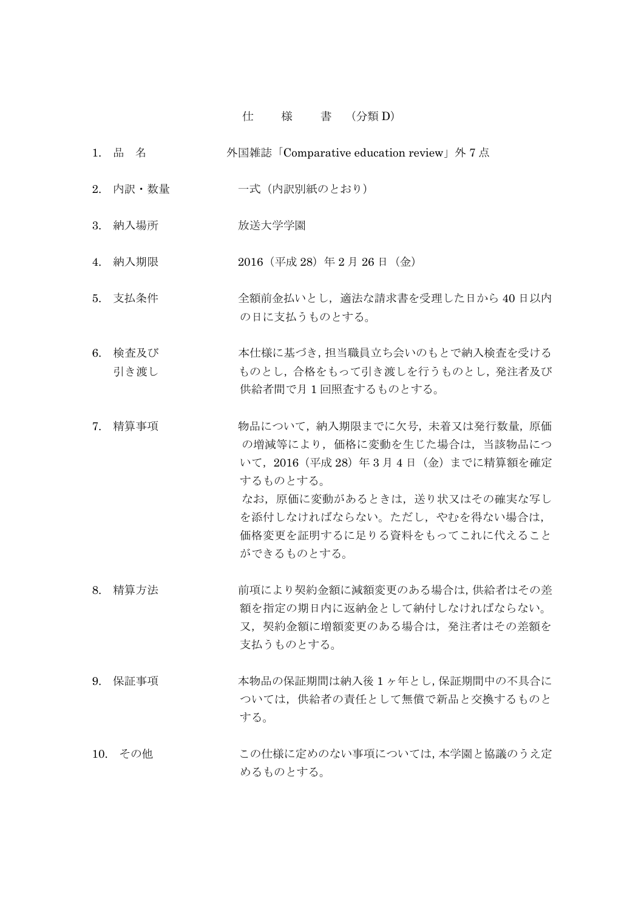### 仕 様 書 (分類 D)

- 1. 品 名 外国雑誌「Comparative education review」外 7 点
- 2. 内訳・数量 一式 (内訳別紙のとおり)
- 3. 納入場所 放送大学学園
- 4. 納入期限 2016 (平成 28) 年 2 月 26 日 (金)
- 5. 支払条件 全額前金払いとし、適法な請求書を受理した日から 40 日以内 の日に支払うものとする。
- 6. 検査及び 本住様に基づき,担当職員立ち会いのもとで納入検査を受ける 引き渡し ちのとし、合格をもって引き渡しを行うものとし、発注者及び 供給者間で月 1 回照査するものとする。
- 7. 精算事項 カンチン 物品について、納入期限までに欠号、未着又は発行数量、原価 の増減等により,価格に変動を生じた場合は,当該物品につ いて,2016(平成 28)年 3 月 4 日(金)までに精算額を確定 するものとする。 なお,原価に変動があるときは,送り状又はその確実な写し を添付しなければならない。ただし,やむを得ない場合は, 価格変更を証明するに足りる資料をもってこれに代えること ができるものとする。
- 8. 精算方法 前項により契約金額に減額変更のある場合は、供給者はその差 額を指定の期日内に返納金として納付しなければならない。 又、契約金額に増額変更のある場合は、発注者はその差額を 支払うものとする。
- 9. 保証事項 インスの品の保証期間は納入後1ヶ年とし、保証期間中の不具合に ついては,供給者の責任として無償で新品と交換するものと する。
- 10. その他 この仕様に定めのない事項については、本学園と協議のうえ定 めるものとする。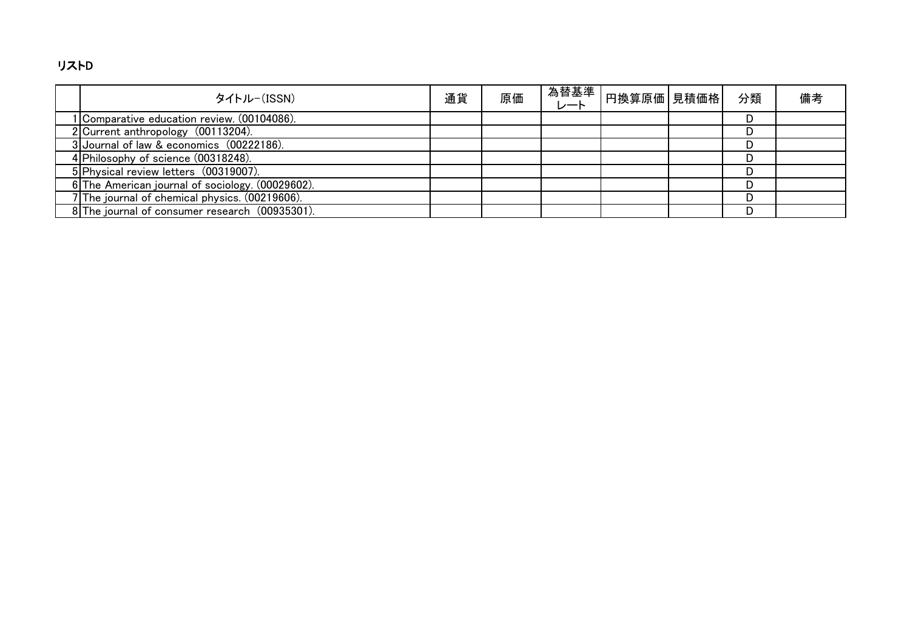## リストD

| タイトル-(ISSN)                                      | 通貨 | 原価 | 為替基準丨<br>レート | ┃円換算原価┃見積価格┃ | 分類 | 備考 |
|--------------------------------------------------|----|----|--------------|--------------|----|----|
| 1 Comparative education review. (00104086).      |    |    |              |              |    |    |
| 2 Current anthropology (00113204).               |    |    |              |              |    |    |
| 3 Journal of law & economics (00222186).         |    |    |              |              |    |    |
| 4 Philosophy of science (00318248).              |    |    |              |              |    |    |
| 5 Physical review letters (00319007).            |    |    |              |              |    |    |
| 6 The American journal of sociology. (00029602). |    |    |              |              |    |    |
| 7 The journal of chemical physics. (00219606).   |    |    |              |              |    |    |
| 8 The journal of consumer research (00935301).   |    |    |              |              |    |    |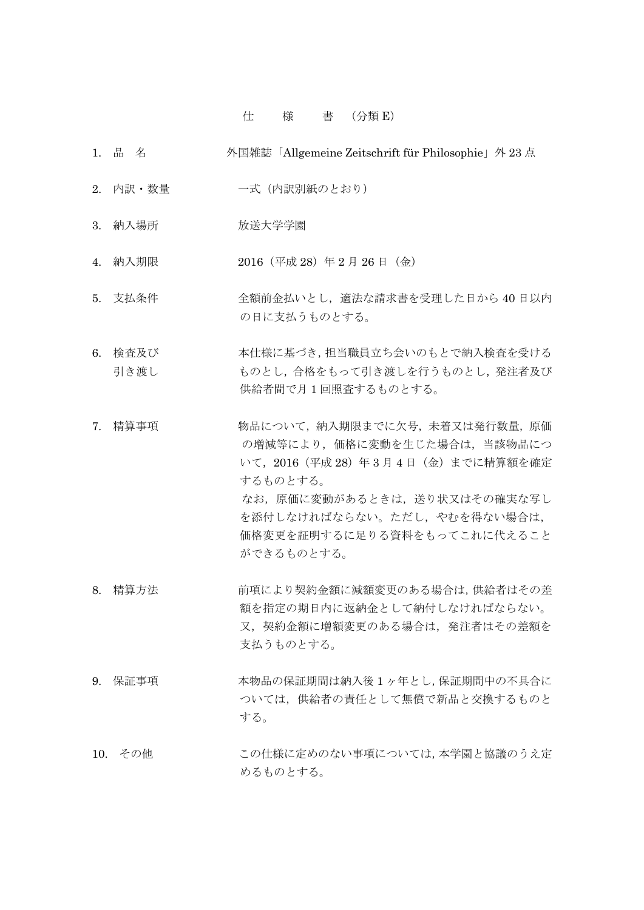### 仕 様 書 (分類 E)

- 1. 品 名 外国雑誌「Allgemeine Zeitschrift für Philosophie」外 23 点
- 2. 内訳・数量 一式 (内訳別紙のとおり)
- 3. 納入場所 放送大学学園
- 4. 納入期限 2016 (平成 28) 年 2 月 26 日 (金)
- 5. 支払条件 全額前金払いとし、適法な請求書を受理した日から40日以内 の日に支払うものとする。
- 6. 検査及び 本住様に基づき,担当職員立ち会いのもとで納入検査を受ける 引き渡し ちのとし、合格をもって引き渡しを行うものとし、発注者及び 供給者間で月 1 回照査するものとする。
- 7. 精算事項 カンチン 物品について、納入期限までに欠号、未着又は発行数量、原価 の増減等により,価格に変動を生じた場合は,当該物品につ いて,2016(平成 28)年 3 月 4 日(金)までに精算額を確定 するものとする。 なお,原価に変動があるときは,送り状又はその確実な写し を添付しなければならない。ただし,やむを得ない場合は, 価格変更を証明するに足りる資料をもってこれに代えること ができるものとする。
- 8. 精算方法 前項により契約金額に減額変更のある場合は、供給者はその差 額を指定の期日内に返納金として納付しなければならない。 又、契約金額に増額変更のある場合は、発注者はその差額を 支払うものとする。
- 9. 保証事項 インストン 本物品の保証期間は納入後1ヶ年とし,保証期間中の不具合に ついては,供給者の責任として無償で新品と交換するものと する。
- 10. その他 この仕様に定めのない事項については、本学園と協議のうえ定 めるものとする。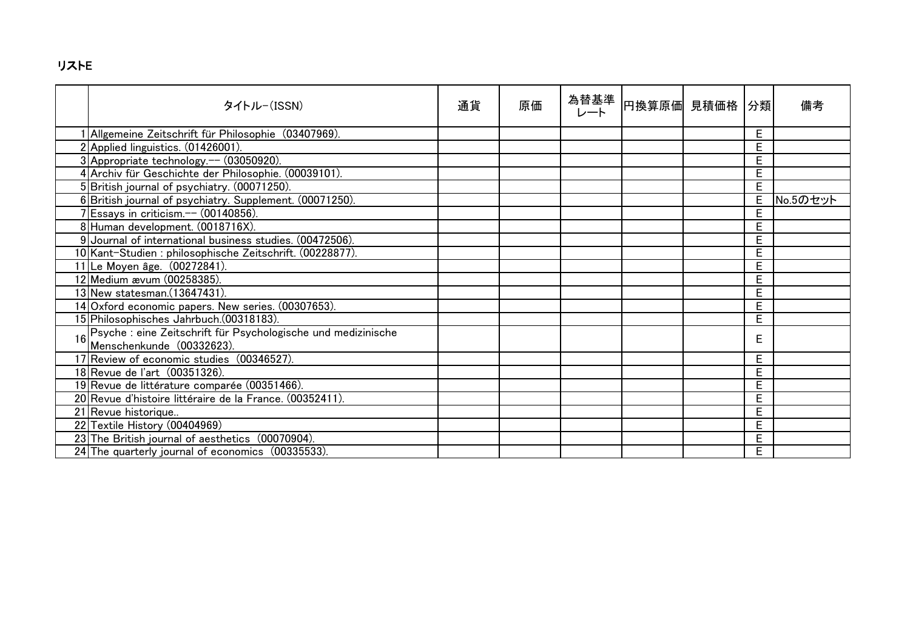## リストE

|    | タイトル-(ISSN)                                                                                | 通貨 | 原価 | 為替基準 | 円換算原価 見積価格 | 分類 | 備考       |
|----|--------------------------------------------------------------------------------------------|----|----|------|------------|----|----------|
|    | Allgemeine Zeitschrift für Philosophie (03407969).                                         |    |    |      |            | E  |          |
|    | 2 Applied linguistics. (01426001).                                                         |    |    |      |            | E  |          |
|    | 3 Appropriate technology -- (03050920).                                                    |    |    |      |            | E  |          |
|    | 4 Archiv für Geschichte der Philosophie. (00039101).                                       |    |    |      |            | E  |          |
|    | 5 British journal of psychiatry. (00071250).                                               |    |    |      |            | E  |          |
|    | 6 British journal of psychiatry. Supplement. (00071250).                                   |    |    |      |            | Е  | No.5のセット |
|    | Essays in criticism.-- (00140856).                                                         |    |    |      |            | E  |          |
|    | 8 Human development. (0018716X).                                                           |    |    |      |            | E  |          |
|    | 9 Journal of international business studies. (00472506).                                   |    |    |      |            | E  |          |
|    | 10 Kant-Studien: philosophische Zeitschrift. (00228877).                                   |    |    |      |            | E  |          |
|    | 11 Le Moyen âge. (00272841).                                                               |    |    |      |            | E  |          |
|    | 12 Medium ævum (00258385).                                                                 |    |    |      |            | E  |          |
|    | 13 New statesman.(13647431).                                                               |    |    |      |            | E  |          |
|    | 14 Oxford economic papers. New series. (00307653).                                         |    |    |      |            | E  |          |
|    | 15 Philosophisches Jahrbuch.(00318183).                                                    |    |    |      |            | E  |          |
| 16 | Psyche : eine Zeitschrift für Psychologische und medizinische<br>Menschenkunde (00332623). |    |    |      |            | E  |          |
|    | 17 Review of economic studies (00346527).                                                  |    |    |      |            | E  |          |
|    | 18 Revue de l'art (00351326).                                                              |    |    |      |            | E  |          |
|    | 19 Revue de littérature comparée (00351466).                                               |    |    |      |            | E  |          |
|    | 20 Revue d'histoire littéraire de la France. (00352411).                                   |    |    |      |            | E  |          |
|    | 21 Revue historique                                                                        |    |    |      |            | E  |          |
|    | 22 Textile History (00404969)                                                              |    |    |      |            | E  |          |
|    | 23 The British journal of aesthetics (00070904).                                           |    |    |      |            | E  |          |
|    | 24 The quarterly journal of economics (00335533).                                          |    |    |      |            | E  |          |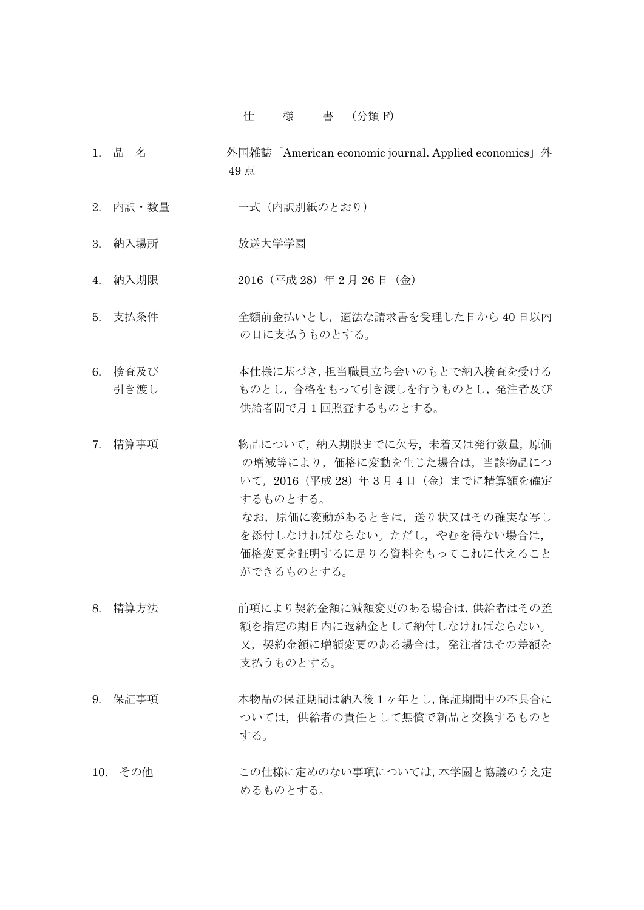### 仕 様 書 (分類 F)

- 1. 品 名 外国雑誌「American economic journal. Applied economics」外 49 点
- 2. 内訳・数量 一式 (内訳別紙のとおり)
- 3. 納入場所 放送大学学園
- 4. 納入期限 2016 (平成 28) 年 2 月 26 日 (金)
- 5. 支払条件 全額前金払いとし、適法な請求書を受理した日から40日以内 の日に支払うものとする。
- 6. 検査及び 本仕様に基づき,担当職員立ち会いのもとで納入検査を受ける 引き渡し おりとし,合格をもって引き渡しを行うものとし,発注者及び 供給者間で月 1 回照査するものとする。
- 7. 精算事項 アンチンの品について、納入期限までに欠号、未着又は発行数量、原価 の増減等により,価格に変動を生じた場合は,当該物品につ いて,2016(平成 28)年 3 月 4 日(金)までに精算額を確定 するものとする。 なお、原価に変動があるときは、送り状又はその確実な写し を添付しなければならない。ただし,やむを得ない場合は, 価格変更を証明するに足りる資料をもってこれに代えること ができるものとする。
- 8. 精算方法 前項により契約金額に減額変更のある場合は、供給者はその差 額を指定の期日内に返納金として納付しなければならない。 又,契約金額に増額変更のある場合は,発注者はその差額を 支払うものとする。
- 9. 保証事項 本物品の保証期間は納入後1ヶ年とし,保証期間中の不具合に ついては,供給者の責任として無償で新品と交換するものと する。
- 10. その他 この仕様に定めのない事項については、本学園と協議のうえ定 めるものとする。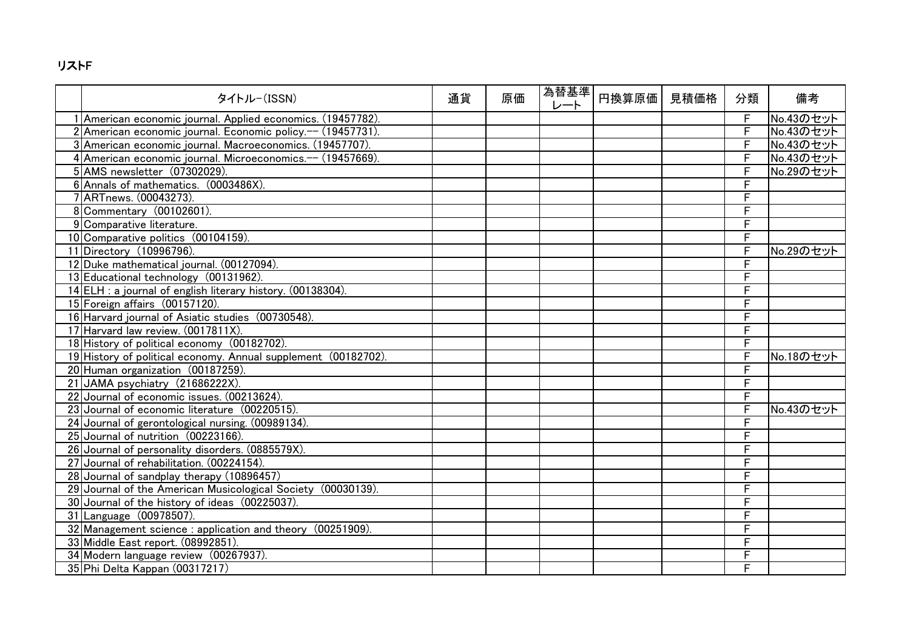# リストF

| タイトル-(ISSN)                                                    | 通貨 | 原価 | 為替基準 <br>レート | 円換算原価 | 見積価格 | 分類 | 備考        |
|----------------------------------------------------------------|----|----|--------------|-------|------|----|-----------|
| 1 American economic journal. Applied economics. (19457782).    |    |    |              |       |      | F  | No.43のセット |
| 2 American economic journal. Economic policy .-- (19457731).   |    |    |              |       |      | F  | No.43のセット |
| 3 American economic journal. Macroeconomics. (19457707).       |    |    |              |       |      | F  | No.43のセット |
| 4 American economic journal. Microeconomics.-- (19457669).     |    |    |              |       |      | F  | No.43のセット |
| 5 AMS newsletter (07302029).                                   |    |    |              |       |      | F  | No.29のセット |
| 6 Annals of mathematics. (0003486X).                           |    |    |              |       |      | F  |           |
| 7 ARTnews. (00043273).                                         |    |    |              |       |      | F  |           |
| 8 Commentary (00102601).                                       |    |    |              |       |      | F  |           |
| 9 Comparative literature.                                      |    |    |              |       |      | F  |           |
| 10 Comparative politics (00104159).                            |    |    |              |       |      | F  |           |
| 11 Directory (10996796)                                        |    |    |              |       |      | F  | No.29のセット |
| 12 Duke mathematical journal. (00127094).                      |    |    |              |       |      | F  |           |
| 13 Educational technology (00131962).                          |    |    |              |       |      | F  |           |
| 14 ELH : a journal of english literary history. (00138304).    |    |    |              |       |      | F  |           |
| 15 Foreign affairs (00157120).                                 |    |    |              |       |      | F  |           |
| 16 Harvard journal of Asiatic studies (00730548).              |    |    |              |       |      | F  |           |
| 17 Harvard law review. (0017811X).                             |    |    |              |       |      | F  |           |
| 18 History of political economy (00182702).                    |    |    |              |       |      | F  |           |
| 19 History of political economy. Annual supplement (00182702). |    |    |              |       |      | F  | No.18のセット |
| 20 Human organization (00187259).                              |    |    |              |       |      | F  |           |
| 21 JAMA psychiatry (21686222X).                                |    |    |              |       |      | F  |           |
| 22 Journal of economic issues. (00213624).                     |    |    |              |       |      | F  |           |
| 23 Journal of economic literature (00220515).                  |    |    |              |       |      | F  | No.43のセット |
| 24 Journal of gerontological nursing. (00989134).              |    |    |              |       |      | F  |           |
| 25 Journal of nutrition (00223166).                            |    |    |              |       |      | F  |           |
| 26 Journal of personality disorders. (0885579X).               |    |    |              |       |      | F  |           |
| 27 Journal of rehabilitation. (00224154).                      |    |    |              |       |      | F  |           |
| 28 Journal of sandplay therapy (10896457)                      |    |    |              |       |      | F  |           |
| 29 Journal of the American Musicological Society (00030139).   |    |    |              |       |      | F  |           |
| 30 Journal of the history of ideas (00225037).                 |    |    |              |       |      | F  |           |
| 31 Language (00978507).                                        |    |    |              |       |      | F  |           |
| 32 Management science : application and theory (00251909).     |    |    |              |       |      | F  |           |
| 33 Middle East report. (08992851)                              |    |    |              |       |      | F  |           |
| 34 Modern language review (00267937).                          |    |    |              |       |      | F  |           |
| 35 Phi Delta Kappan (00317217)                                 |    |    |              |       |      | F  |           |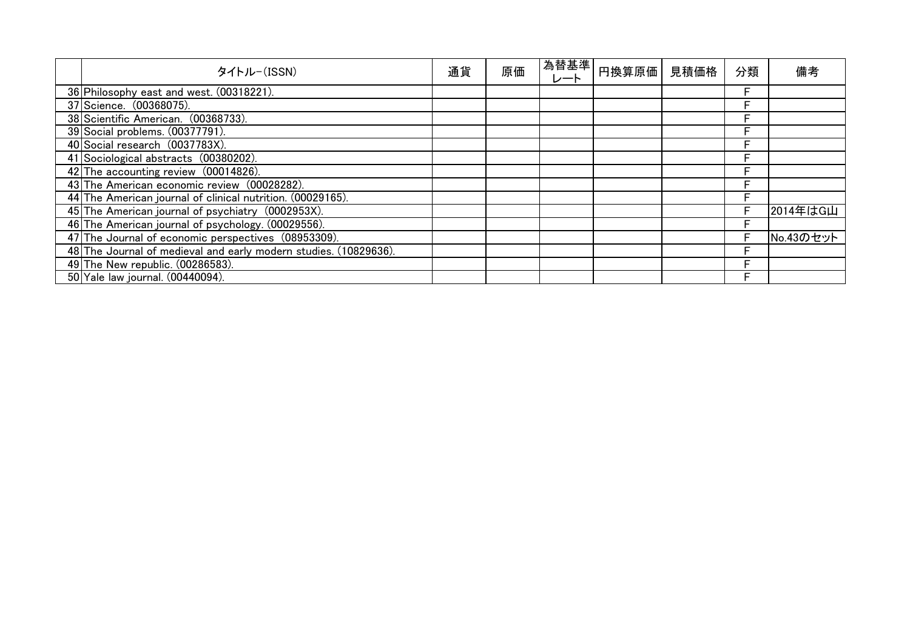| タイトル-(ISSN)                                                      | 通貨 | 原価 | 為替基準<br>レート | 円換算原価 | 見積価格 | 分類 | 備考        |
|------------------------------------------------------------------|----|----|-------------|-------|------|----|-----------|
| 36 Philosophy east and west. (00318221).                         |    |    |             |       |      | Е  |           |
| 37 Science. (00368075).                                          |    |    |             |       |      |    |           |
| 38 Scientific American. (00368733).                              |    |    |             |       |      | E  |           |
| 39 Social problems. (00377791).                                  |    |    |             |       |      | Е  |           |
| 40 Social research (0037783X).                                   |    |    |             |       |      | Е  |           |
| 41 Sociological abstracts (00380202).                            |    |    |             |       |      | F  |           |
| 42 The accounting review (00014826).                             |    |    |             |       |      | Е  |           |
| 43 The American economic review (00028282).                      |    |    |             |       |      |    |           |
| 44 The American journal of clinical nutrition. (00029165).       |    |    |             |       |      | Е  |           |
| 45 The American journal of psychiatry (0002953X).                |    |    |             |       |      | F  | 2014年はG山  |
| 46 The American journal of psychology. (00029556).               |    |    |             |       |      | Е  |           |
| 47 The Journal of economic perspectives (08953309).              |    |    |             |       |      |    | No.43のセット |
| 48 The Journal of medieval and early modern studies. (10829636). |    |    |             |       |      |    |           |
| 49 The New republic. (00286583).                                 |    |    |             |       |      | Е  |           |
| 50 Yale law journal. (00440094).                                 |    |    |             |       |      | г  |           |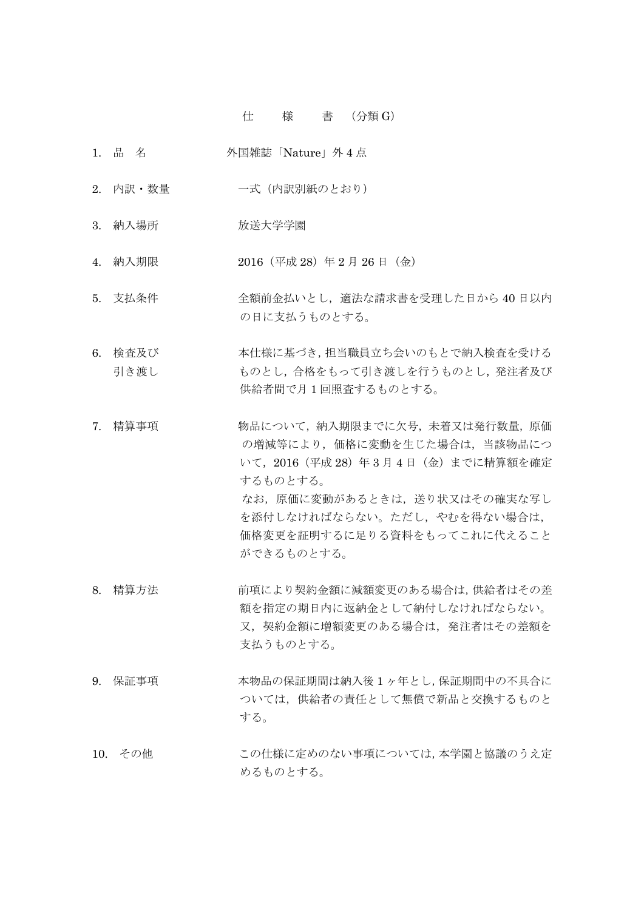### 仕 様 書 (分類 G)

- 1. 品 名 外国雑誌「Nature」外 4 点
- 2. 内訳・数量 一式 (内訳別紙のとおり)
- 3. 納入場所 放送大学学園
- 4. 納入期限 2016 (平成 28) 年 2 月 26 日 (金)
- 5. 支払条件 全額前金払いとし、適法な請求書を受理した日から40日以内 の日に支払うものとする。
- 6. 検査及び 本住様に基づき,担当職員立ち会いのもとで納入検査を受ける 引き渡し ちのとし、合格をもって引き渡しを行うものとし、発注者及び 供給者間で月 1 回照査するものとする。
- 7. 精算事項 インスタムについて、納入期限までに欠号、未着又は発行数量、原価 の増減等により,価格に変動を生じた場合は,当該物品につ いて,2016(平成 28)年 3 月 4 日(金)までに精算額を確定 するものとする。 なお,原価に変動があるときは,送り状又はその確実な写し を添付しなければならない。ただし,やむを得ない場合は, 価格変更を証明するに足りる資料をもってこれに代えること ができるものとする。
- 8. 精算方法 前項により契約金額に減額変更のある場合は、供給者はその差 額を指定の期日内に返納金として納付しなければならない。 又、契約金額に増額変更のある場合は、発注者はその差額を 支払うものとする。
- 9. 保証事項 インスの品の保証期間は納入後1ヶ年とし、保証期間中の不具合に ついては,供給者の責任として無償で新品と交換するものと する。
- 10. その他 この仕様に定めのない事項については、本学園と協議のうえ定 めるものとする。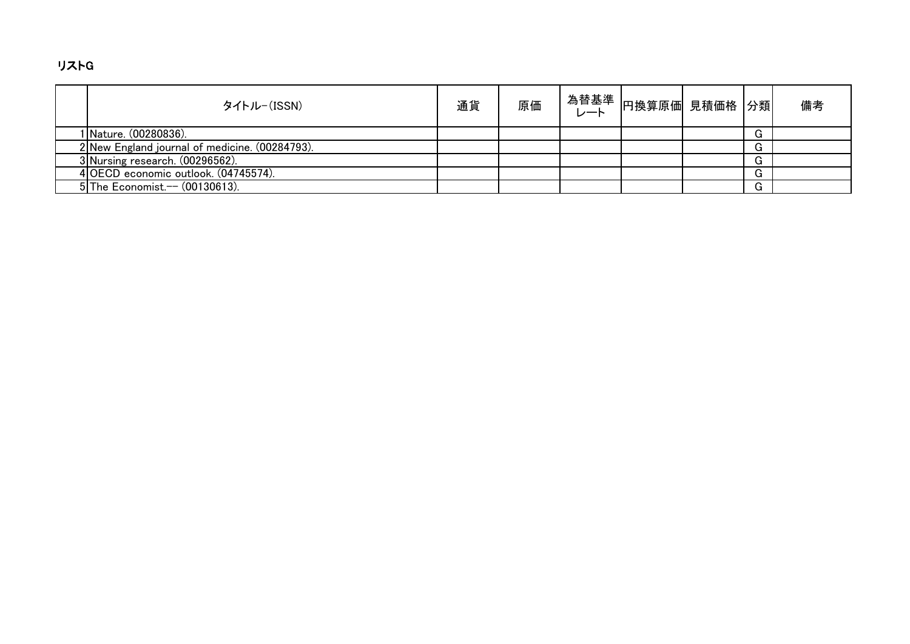## リストG

| タイトル-(ISSN)                                    | 通貨 | 原価 | ╹為替基準 │円換算原価│ 見積価格 │分類│<br>レート │円換算原価│ 見積価格 │分類│ |    | 備考 |
|------------------------------------------------|----|----|--------------------------------------------------|----|----|
| 1 Nature. (00280836).                          |    |    |                                                  | G  |    |
| 2 New England journal of medicine. (00284793). |    |    |                                                  | G  |    |
| 3 Nursing research. (00296562).                |    |    |                                                  | G. |    |
| 4 OECD economic outlook. (04745574).           |    |    |                                                  | G  |    |
| 5 The Economist.-- (00130613).                 |    |    |                                                  | G  |    |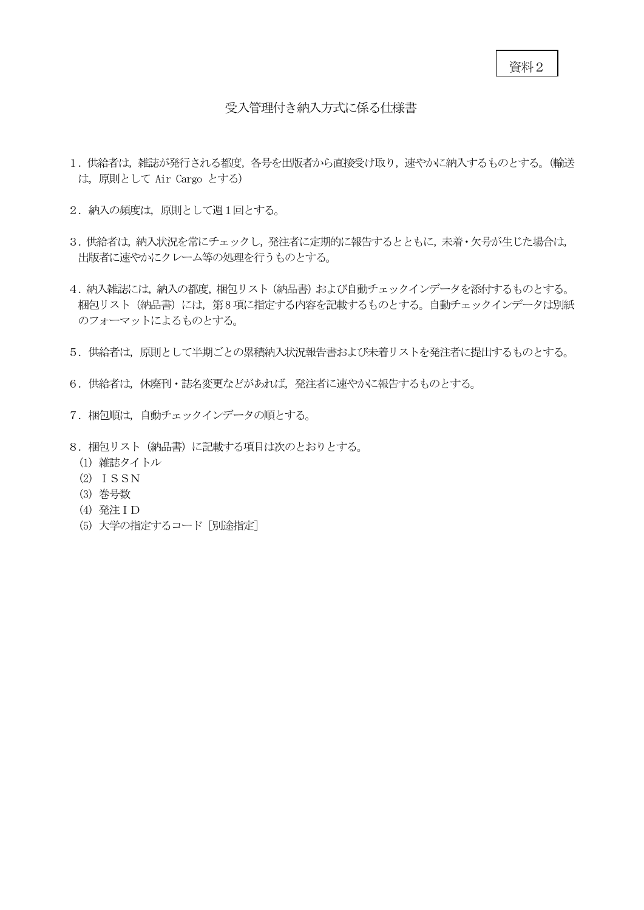### 受入管理付き納入方式に係る仕様書

- 1.供給者は,雑誌が発行される都度,各号を出版者から直接受け取り,速やかに納入するものとする。(輸送 は,原則として Air Cargo とする)
- 2. 納入の頻度は、原則として週1回とする。
- 3. 供給者は、納入状況を常にチェックし、発注者に定期的に報告するとともに、未着·欠号が生じた場合は, 出版者に速やかにクレーム等の処理を行うものとする。
- 4. 納入雑誌には、納入の都度、梱包リスト (納品書) および自動チェックインデータを添付するものとする。 梱包リスト(納品書)には,第8 項に指定する内容を記載するものとする。自動チェックインデータは別紙 のフォーマットによるものとする。
- 5.供給者は,原則として半期ごとの累積納入状況報告書および未着リストを発注者に提出するものとする。
- 6.供給者は,休廃刊・誌名変更などがあれば,発注者に速やかに報告するものとする。
- 7. 梱包順は、自動チェックインデータの順とする。
- 8.梱包リスト(納品書)に記載する項目は次のとおりとする。
	- (1) 雑誌タイトル
	- (2) ISSN
	- (3) 巻号数
	- (4) 発注ID
	- (5) 大学の指定するコード[別途指定]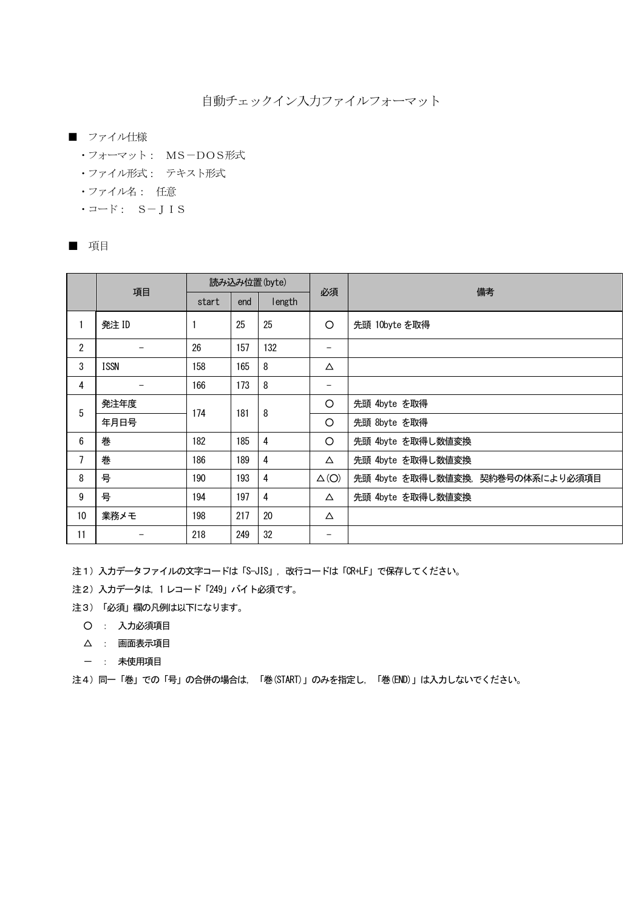自動チェックイン入力ファイルフォーマット

- ファイル仕様
	- ・フォーマット: MS-DOS形式
	- ・ファイル形式: テキスト形式
	- ・ファイル名: 任意
	- $\cdot$   $\exists$   $\vdash$   $\upharpoonright$   $S$   $\vdash$   $J$   $I$   $S$

|--|--|--|

|                |             |       |     | 読み込み位置(byte) |              |                                  |
|----------------|-------------|-------|-----|--------------|--------------|----------------------------------|
|                | 項目          | start | end | length       | 必須           | 備考                               |
|                | 発注 ID       |       | 25  | 25           | $\Omega$     | 先頭 10byte を取得                    |
| $\overline{2}$ |             | 26    | 157 | 132          | -            |                                  |
| 3              | <b>ISSN</b> | 158   | 165 | 8            | Δ            |                                  |
| 4              |             | 166   | 173 | 8            | -            |                                  |
| 5              | 発注年度        | 174   | 181 | 8            | $\circ$      | 先頭 4byte を取得                     |
|                | 年月日号        |       |     |              | $\circ$      | 先頭 8byte を取得                     |
| 6              | 巻           | 182   | 185 | 4            | $\circ$      | 先頭 4byte を取得し数値変換                |
| 7              | 巻           | 186   | 189 | 4            | Δ            | 先頭 4byte を取得し数値変換                |
| 8              | 号           | 190   | 193 | 4            | $\Delta$ (O) | 先頭 4byte を取得し数値変換、契約巻号の体系により必須項目 |
| 9              | 号           | 194   | 197 | 4            | $\Delta$     | 先頭 4byte を取得し数値変換                |
| 10             | 業務メモ        | 198   | 217 | 20           | Δ            |                                  |
| 11             |             | 218   | 249 | 32           | -            |                                  |

注1) 入力データファイルの文字コードは「S-JIS」,改行コードは「CR+LF」で保存してください。

注2) 入力データは、1レコード「249」バイト必須です。

注3)「必須」欄の凡例は以下になります。

- : 入力必須項目
- △ : 画面表示項目
- : 未使用項目

注4)同一「巻」での「号」の合併の場合は,「巻(START)」のみを指定し,「巻(END)」は入力しないでください。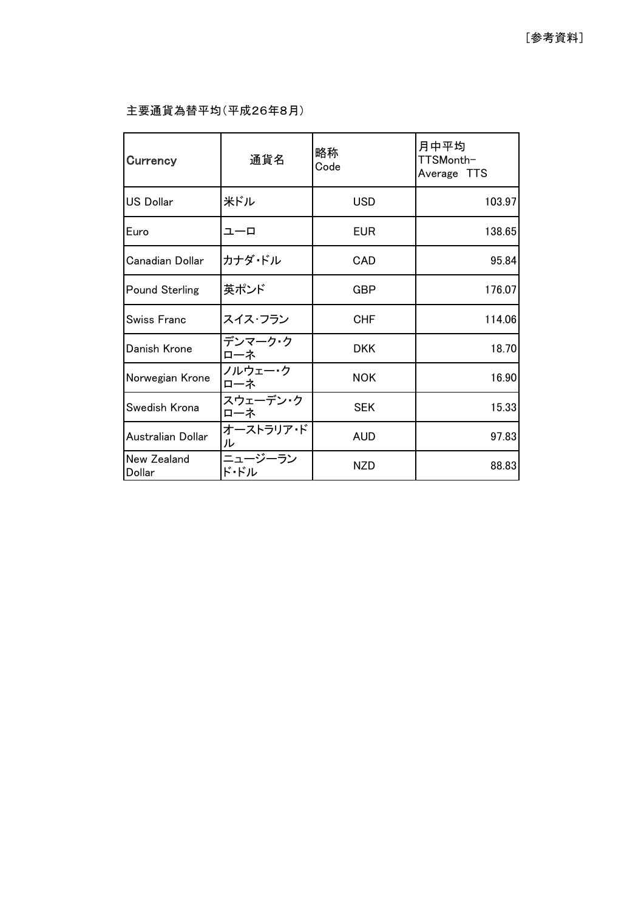### 主要通貨為替平均(平成26年8月)

| Currency              | 通貨名             | 略称<br>Code | 月中平均<br>TTSMonth-<br>Average TTS |
|-----------------------|-----------------|------------|----------------------------------|
| <b>US Dollar</b>      | 米ドル             | <b>USD</b> | 103.97                           |
| Euro                  | ユーロ             | EUR        | 138.65                           |
| Canadian Dollar       | カナダ・ドル          | CAD        | 95.84                            |
| <b>Pound Sterling</b> | 英ポンド            | GBP        | 176.07                           |
| Swiss Franc           | スイス・フラン         | <b>CHF</b> | 114.06                           |
| Danish Krone          | デンマーク・ク<br>ローネ  | <b>DKK</b> | 18.70                            |
| Norwegian Krone       | ノルウェー・ク<br>ローネ  | <b>NOK</b> | 16.90                            |
| Swedish Krona         | スウェーデン・ク<br>ローネ | <b>SEK</b> | 15.33                            |
| Australian Dollar     | オーストラリア・ド<br>ル  | <b>AUD</b> | 97.83                            |
| New Zealand<br>Dollar | ニュージーラン<br>ド・ドル | NZD        | 88.83                            |